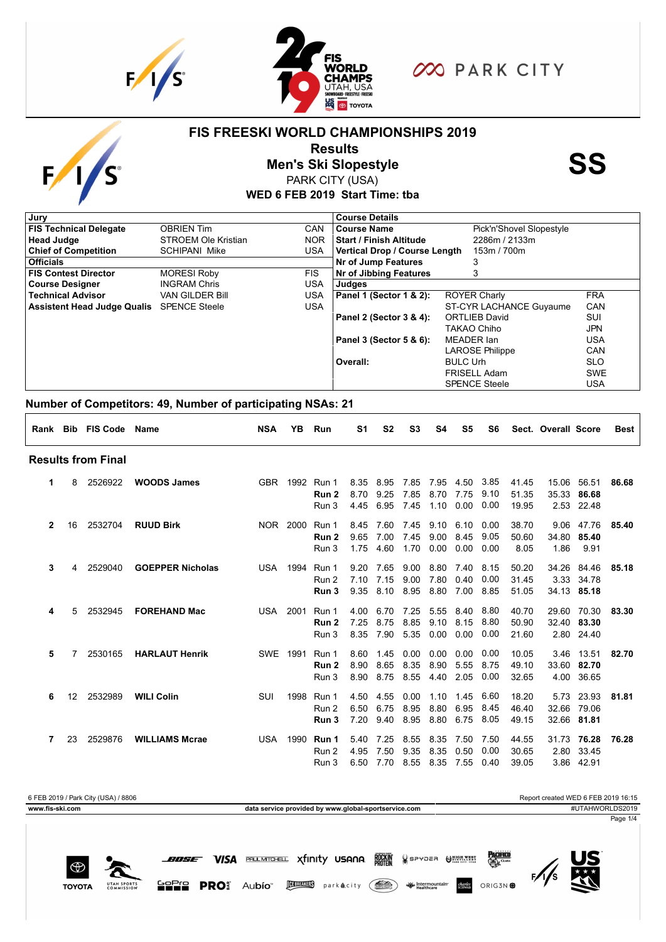

 $F/\sqrt{S}$ 

₩

**TOYOTA** 

UTAH SPOR<br>COMMISSIC



000 PARK CITY

#### **FIS FREESKI WORLD CHAMPIONSHIPS 2019**

**Results<br>Men's Ski Slopestyle**<br>PARK CITY (USA)

PARK CITY (USA)

**WED 6 FEB 2019 Start Time: tba**

| Pick'n'Shovel Slopestyle                     |            |
|----------------------------------------------|------------|
| 2286m / 2133m                                |            |
| Vertical Drop / Course Length<br>153m / 700m |            |
|                                              |            |
|                                              |            |
|                                              |            |
| <b>ROYER Charly</b>                          | <b>FRA</b> |
| ST-CYR LACHANCE Guyaume                      | CAN        |
| <b>ORTLIEB David</b>                         | SUI        |
| TAKAO Chiho                                  | <b>JPN</b> |
| MEADER Ian                                   | USA        |
| <b>LAROSE Philippe</b>                       | CAN        |
| <b>BULC Urh</b>                              | <b>SLO</b> |
| FRISELL Adam                                 | <b>SWE</b> |
| <b>SPENCE Steele</b>                         | <b>USA</b> |
|                                              |            |

#### **Number of Competitors: 49, Number of participating NSAs: 21**

|              |                 | Rank Bib FIS Code Name    |                         | <b>NSA</b> | YB.             | Run                                 | S1                   | S <sub>2</sub>       | S <sub>3</sub>            | S4                   | S5                   | S6                   |                         | Sect. Overall Score   |                                         | <b>Best</b> |
|--------------|-----------------|---------------------------|-------------------------|------------|-----------------|-------------------------------------|----------------------|----------------------|---------------------------|----------------------|----------------------|----------------------|-------------------------|-----------------------|-----------------------------------------|-------------|
|              |                 | <b>Results from Final</b> |                         |            |                 |                                     |                      |                      |                           |                      |                      |                      |                         |                       |                                         |             |
| 1.           | 8               | 2526922                   | <b>WOODS James</b>      | <b>GBR</b> |                 | 1992 Run 1<br>Run 2<br>Run 3        | 8.35<br>8.70<br>4.45 | 8.95<br>9.25<br>6.95 | 7.85<br>7.85<br>7.45      | 7.95<br>8.70<br>1.10 | 4.50<br>7.75<br>0.00 | 3.85<br>9.10<br>0.00 | 41.45<br>51.35<br>19.95 | 15.06                 | 56.51<br>35.33 86.68<br>2.53 22.48      | 86.68       |
| $\mathbf{2}$ | 16              | 2532704                   | <b>RUUD Birk</b>        |            | NOR 2000        | Run 1<br>Run 2<br>Run 3             | 8.45<br>9.65<br>1.75 | 7.60<br>7.00<br>4.60 | 7.45<br>7.45<br>1.70      | 9.10<br>9.00<br>0.00 | 6.10<br>8.45<br>0.00 | 0.00<br>9.05<br>0.00 | 38.70<br>50.60<br>8.05  | 9.06<br>34.80<br>1.86 | 47.76<br>85.40<br>9.91                  | 85.40       |
| 3            | 4               | 2529040                   | <b>GOEPPER Nicholas</b> |            | <b>USA 1994</b> | Run 1<br>Run 2<br>Run 3             | 9.20<br>7.10<br>9.35 | 7.65<br>7.15<br>8.10 | 9.00<br>9.00<br>8.95      | 8.80<br>7.80<br>8.80 | 7.40<br>0.40<br>7.00 | 8.15<br>0.00<br>8.85 | 50.20<br>31.45<br>51.05 | 34.26                 | 84.46<br>3.33 34.78<br>34.13 85.18      | 85.18       |
| 4            | 5               | 2532945                   | <b>FOREHAND Mac</b>     | USA 2001   |                 | Run 1<br>Run 2<br>Run 3             | 4.00<br>7.25<br>8.35 | 6.70<br>8.75<br>7.90 | 7.25<br>8.85<br>5.35      | 5.55<br>9.10<br>0.00 | 8.40<br>8.15<br>0.00 | 8.80<br>8.80<br>0.00 | 40.70<br>50.90<br>21.60 | 29.60                 | 70.30<br>32.40 83.30<br>2.80 24.40      | 83.30       |
| 5            | 7               | 2530165                   | <b>HARLAUT Henrik</b>   | SWE        | 1991            | Run 1<br>Run 2<br>Run 3             | 8.60<br>8.90<br>8.90 | 1.45<br>8.65<br>8.75 | 0.00<br>8.35<br>8.55      | 0.00<br>8.90<br>4.40 | 0.00<br>5.55<br>2.05 | 0.00<br>8.75<br>0.00 | 10.05<br>49.10<br>32.65 |                       | 3.46 13.51<br>33.60 82.70<br>4.00 36.65 | 82.70       |
| 6            | 12 <sup>7</sup> | 2532989                   | <b>WILI Colin</b>       | <b>SUI</b> | 1998            | Run 1<br>Run 2<br>Run 3             | 4.50<br>6.50<br>7.20 | 4.55<br>6.75<br>9.40 | 0.00<br>8.95<br>8.95      | 1.10<br>8.80<br>8.80 | 1.45<br>6.95<br>6.75 | 6.60<br>8.45<br>8.05 | 18.20<br>46.40<br>49.15 | 5.73                  | 23.93<br>32.66 79.06<br>32.66 81.81     | 81.81       |
| 7            | 23              | 2529876                   | <b>WILLIAMS Mcrae</b>   | USA        |                 | 1990 <b>Run 1</b><br>Run 2<br>Run 3 | 5.40<br>4.95<br>6.50 | 7.25<br>7.50<br>7.70 | 8.55<br>9.35<br>8.55 8.35 | 8.35<br>8.35         | 7.50<br>0.50<br>7.55 | 7.50<br>0.00<br>0.40 | 44.55<br>30.65<br>39.05 |                       | 31.73 76.28<br>2.80 33.45<br>3.86 42.91 | 76.28       |





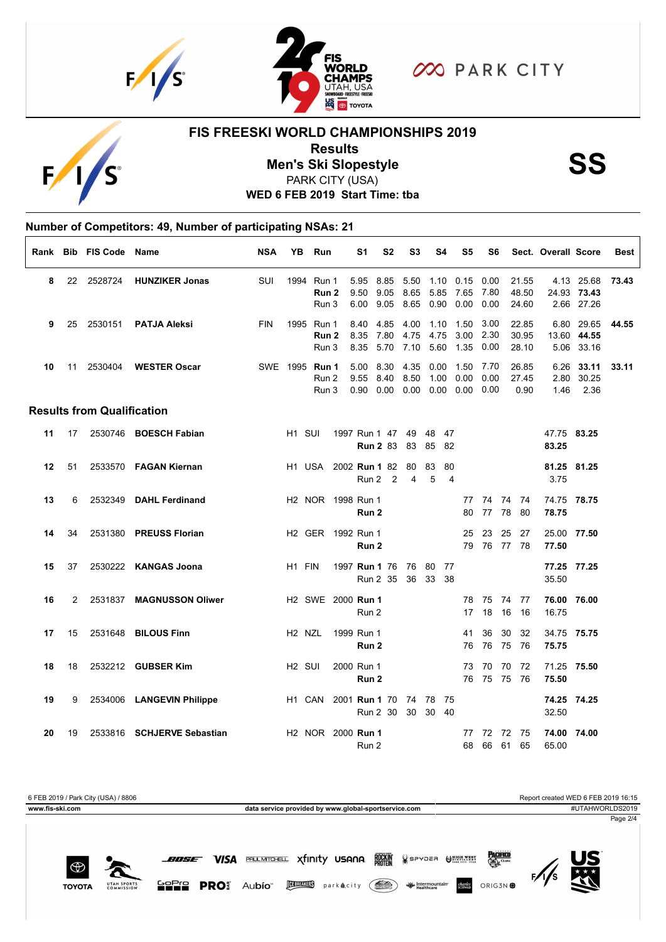



**OO PARK CITY** 

# $F_{\ell}$

## **FIS FREESKI WORLD CHAMPIONSHIPS 2019**

**Results<br>Men's Ski Slopestyle**<br>PARK CITY (USA)

PARK CITY (USA)

**WED 6 FEB 2019 Start Time: tba**

|    |    |                                   | Number of Competitors: 49, Number of participating NSAs: 21 |            |                                |                                      |            |                      |                                     |                        |                      |                      |                      |                   |                         |                      |                                         |             |
|----|----|-----------------------------------|-------------------------------------------------------------|------------|--------------------------------|--------------------------------------|------------|----------------------|-------------------------------------|------------------------|----------------------|----------------------|----------------------|-------------------|-------------------------|----------------------|-----------------------------------------|-------------|
|    |    | Rank Bib FIS Code Name            |                                                             | <b>NSA</b> |                                | YB Run                               |            | S1                   | S <sub>2</sub>                      | S <sub>3</sub>         | S4                   | S5                   | S6                   |                   |                         | Sect. Overall Score  |                                         | <b>Best</b> |
| 8  | 22 | 2528724                           | <b>HUNZIKER Jonas</b>                                       | SUI        | 1994                           | Run 1<br>Run 2<br>Run 3              |            | 5.95<br>9.50<br>6.00 | 8.85<br>9.05<br>9.05                | 5.50<br>8.65<br>8.65   | 1.10<br>5.85<br>0.90 | 0.15<br>7.65<br>0.00 | 0.00<br>7.80<br>0.00 |                   | 21.55<br>48.50<br>24.60 |                      | 4.13 25.68<br>24.93 73.43<br>2.66 27.26 | 73.43       |
| 9  | 25 | 2530151                           | <b>PATJA Aleksi</b>                                         | <b>FIN</b> | 1995                           | Run 1<br>Run 2<br>Run 3              |            | 8.40<br>8.35<br>8.35 | 4.85<br>7.80<br>5.70                | 4.00<br>4.75<br>7.10   | 1.10<br>4.75<br>5.60 | 1.50<br>3.00<br>1.35 | 3.00<br>2.30<br>0.00 |                   | 22.85<br>30.95<br>28.10 | 6.80                 | 29.65<br>13.60 44.55<br>5.06 33.16      | 44.55       |
| 10 | 11 | 2530404                           | <b>WESTER Oscar</b>                                         |            | SWE 1995                       | Run 1<br>Run 2<br>Run 3              |            | 5.00<br>9.55<br>0.90 | 8.30<br>8.40<br>0.00                | 4.35<br>8.50<br>0.00   | 0.00<br>1.00<br>0.00 | 1.50<br>0.00<br>0.00 | 7.70<br>0.00<br>0.00 |                   | 26.85<br>27.45<br>0.90  | 6.26<br>2.80<br>1.46 | 33.11<br>30.25<br>2.36                  | 33.11       |
|    |    | <b>Results from Qualification</b> |                                                             |            |                                |                                      |            |                      |                                     |                        |                      |                      |                      |                   |                         |                      |                                         |             |
| 11 | 17 |                                   | 2530746 BOESCH Fabian                                       |            | H <sub>1</sub> SUI             |                                      |            |                      | 1997 Run 1 47 49<br><b>Run 2 83</b> | 83                     | 48<br>85             | -47<br>82            |                      |                   |                         | 47.75 83.25<br>83.25 |                                         |             |
| 12 | 51 |                                   | 2533570 FAGAN Kiernan                                       |            |                                | H1 USA                               |            |                      | 2002 <b>Run 1</b> 82<br>Run 2 2     | - 80<br>$\overline{4}$ | 83<br>5              | 80<br>$\overline{4}$ |                      |                   |                         | 81.25 81.25<br>3.75  |                                         |             |
| 13 | 6  | 2532349                           | <b>DAHL Ferdinand</b>                                       |            |                                | H2 NOR 1998 Run 1                    |            | Run <sub>2</sub>     |                                     |                        |                      | 77<br>80             | 77                   | 74 74 74<br>78    | -80                     | 74.75 78.75<br>78.75 |                                         |             |
| 14 | 34 | 2531380                           | <b>PREUSS Florian</b>                                       |            |                                | H2 GER 1992 Run 1                    |            | Run 2                |                                     |                        |                      | 25<br>79             | 23                   | 25<br>76 77 78    | 27                      | 25.00 77.50<br>77.50 |                                         |             |
| 15 | 37 |                                   | 2530222 KANGAS Joona                                        |            | H <sub>1</sub> FIN             |                                      |            |                      | 1997 Run 1 76<br>Run 2 35           |                        | 76 80 77<br>36 33 38 |                      |                      |                   |                         | 77.25 77.25<br>35.50 |                                         |             |
| 16 | 2  | 2531837                           | <b>MAGNUSSON Oliwer</b>                                     |            |                                | H <sub>2</sub> SWE 2000 <b>Run 1</b> |            | Run 2                |                                     |                        |                      | 78<br>17             | 75<br>18             | 74<br>16          | -77<br>16               | 76.00 76.00<br>16.75 |                                         |             |
| 17 | 15 | 2531648                           | <b>BILOUS Finn</b>                                          |            | H <sub>2</sub> N <sub>ZL</sub> |                                      | 1999 Run 1 | Run 2                |                                     |                        |                      | 41<br>76             | 36<br>76             | 30<br>75          | 32<br>-76               | 34.75 75.75<br>75.75 |                                         |             |
| 18 | 18 |                                   | 2532212 <b>GUBSER Kim</b>                                   |            | H <sub>2</sub> SUI             |                                      | 2000 Run 1 | Run <sub>2</sub>     |                                     |                        |                      | 73                   | 70<br>76 75 75       | - 70              | 72<br>76                | 71.25 75.50<br>75.50 |                                         |             |
| 19 | 9  |                                   | 2534006 LANGEVIN Philippe                                   |            | H1 CAN                         |                                      |            |                      | 2001 Run 1 70<br>Run 2 30           | 74 78<br>30            | - 75<br>30 40        |                      |                      |                   |                         | 74.25 74.25<br>32.50 |                                         |             |
| 20 | 19 |                                   | 2533816 SCHJERVE Sebastian                                  |            |                                | H <sub>2</sub> NOR 2000 <b>Run 1</b> |            | Run 2                |                                     |                        |                      | 77<br>68             |                      | 72 72 75<br>66 61 | 65                      | 74.00 74.00<br>65.00 |                                         |             |



**BOSE VISA PALLMTO-ELL Xfinity USANA BOCKIN** 

₩. **TOYOTA** UTAH SPOR<br>COMMISSI

GOPIO PROS Aubío **MELLES** parkacity (A) W Healthcare ORIG3N **\$** 

SPYDER OMNITT

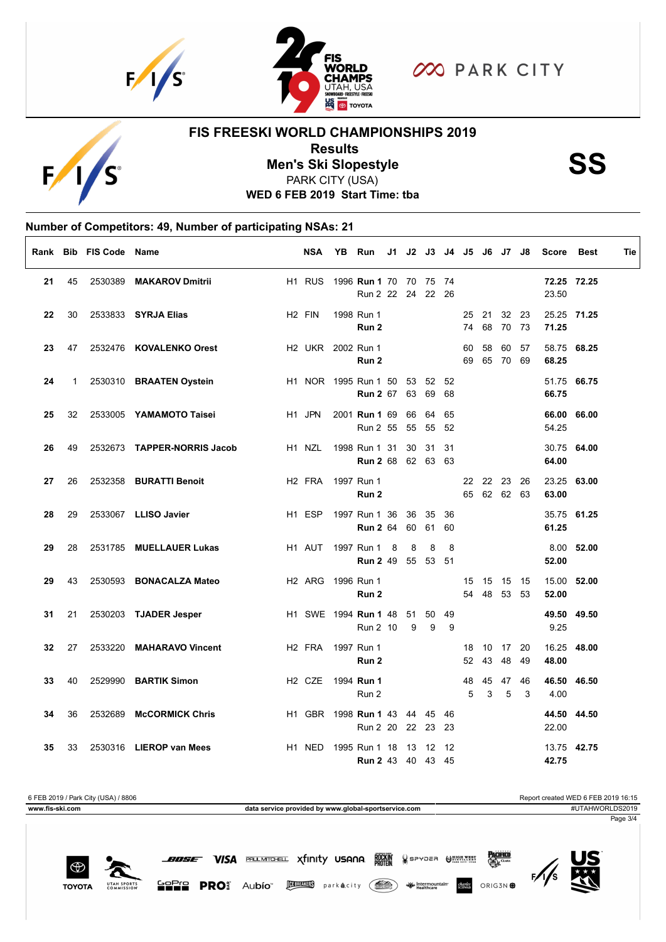



**OO PARK CITY** 

#### **FIS FREESKI WORLD CHAMPIONSHIPS 2019**



**Results<br>Men's Ski Slopestyle**<br>PARK CITY (USA) PARK CITY (USA)

**WED 6 FEB 2019 Start Time: tba**

### **Number of Competitors: 49, Number of participating NSAs: 21**

|    |    | Rank Bib FIS Code Name |                             | <b>NSA</b>                                       | YΒ | <b>Run</b>                                          |    |             |    |          |          |                            | J1 J2 J3 J4 J5 J6 J7 J8 | <b>Score</b> | <b>Best</b> | Tie |
|----|----|------------------------|-----------------------------|--------------------------------------------------|----|-----------------------------------------------------|----|-------------|----|----------|----------|----------------------------|-------------------------|--------------|-------------|-----|
| 21 | 45 | 2530389                | <b>MAKAROV Dmitrii</b>      | H <sub>1</sub> RUS                               |    | 1996 <b>Run 1</b> 70 70 75 74<br>Run 2 22 24 22 26  |    |             |    |          |          |                            |                         | 23.50        | 72.25 72.25 |     |
| 22 | 30 |                        | 2533833 SYRJA Elias         | H <sub>2</sub> FIN                               |    | 1998 Run 1<br>Run 2                                 |    |             |    | 74       |          | 25 21 32 23<br>68 70       | - 73                    | 71.25        | 25.25 71.25 |     |
| 23 | 47 |                        | 2532476 KOVALENKO Orest     |                                                  |    | H <sub>2</sub> UKR 2002 Run 1<br>Run 2              |    |             |    | 60<br>69 | 58       | 60<br>65 70 69             | 57                      | 68.25        | 58.75 68.25 |     |
| 24 | 1  |                        | 2530310 BRAATEN Oystein     |                                                  |    | H1 NOR 1995 Run 1 50 53 52 52<br><b>Run 2 67 63</b> |    | 69          | 68 |          |          |                            |                         | 66.75        | 51.75 66.75 |     |
| 25 | 32 |                        | 2533005 YAMAMOTO Taisei     | H1 JPN                                           |    | 2001 <b>Run 1</b> 69<br>Run 2 55 55 55 52           | 66 | 64          | 65 |          |          |                            |                         | 54.25        | 66.00 66.00 |     |
| 26 | 49 |                        | 2532673 TAPPER-NORRIS Jacob | H <sub>1</sub> N <sub>ZL</sub>                   |    | 1998 Run 1 31<br><b>Run 2</b> 68 62 63 63           | 30 | 31 31       |    |          |          |                            |                         | 64.00        | 30.75 64.00 |     |
| 27 | 26 |                        | 2532358 BURATTI Benoit      | H <sub>2</sub> FRA 1997 Run 1                    |    | Run 2                                               |    |             |    |          |          | 22 22 23 26<br>65 62 62 63 |                         | 63.00        | 23.25 63.00 |     |
| 28 | 29 |                        | 2533067 LLISO Javier        | H <sub>1</sub> ESP                               |    | 1997 Run 1 36 36<br><b>Run 2</b> 64 60              |    | 35 36<br>61 | 60 |          |          |                            |                         | 61.25        | 35.75 61.25 |     |
| 29 | 28 |                        | 2531785 MUELLAUER Lukas     | H1 AUT                                           |    | 1997 Run 1 8<br><b>Run 2</b> 49 55 53 51            | 8  | 8           | 8  |          |          |                            |                         | 52.00        | 8.00 52.00  |     |
| 29 | 43 |                        | 2530593 BONACALZA Mateo     | H <sub>2</sub> ARG 1996 Run 1                    |    | Run 2                                               |    |             |    |          | 15 15 15 | 54 48 53                   | - 15<br>- 53            | 52.00        | 15.00 52.00 |     |
| 31 | 21 |                        | 2530203 TJADER Jesper       |                                                  |    | H1 SWE 1994 Run 1 48 51 50 49<br>Run 2 10           | 9  | 9           | 9  |          |          |                            |                         | 9.25         | 49.50 49.50 |     |
| 32 | 27 |                        | 2533220 MAHARAVO Vincent    | H <sub>2</sub> FRA                               |    | 1997 Run 1<br>Run 2                                 |    |             |    | 18<br>52 | 43       | 10 17<br>48                | 20<br>49                | 48.00        | 16.25 48.00 |     |
| 33 | 40 |                        | 2529990 BARTIK Simon        | H <sub>2</sub> C <sub>ZE</sub> 1994 <b>Run 1</b> |    | Run 2                                               |    |             |    | 48<br>5  | 45<br>3  | 47<br>5                    | 46<br>3                 | 4.00         | 46.50 46.50 |     |
| 34 | 36 | 2532689                | <b>McCORMICK Chris</b>      |                                                  |    | H1 GBR 1998 Run 1 43 44 45 46<br>Run 2 20 22 23 23  |    |             |    |          |          |                            |                         | 22.00        | 44.50 44.50 |     |
| 35 | 33 |                        | 2530316 LIEROP van Mees     | H <sub>1</sub> NED                               |    | 1995 Run 1 18<br>Run 2 43 40 43 45                  | 13 | 12          | 12 |          |          |                            |                         | 42.75        | 13.75 42.75 |     |

SPYDER OMNEST

ORIG3N **\$** 



₩ **TOYOTA** UTAH SPOR<br>COMMISSIC

**BOSE VISA PROLIMITOFELL X** finity USANA **READY** 

GOPIO PROS Aubío **MEDICO** parkacity (and Wintermountain